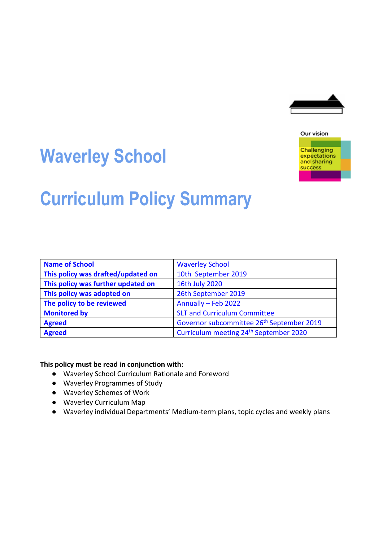

# **Waverley School**



expectations and sharing success

**Curriculum Policy Summary**

| <b>Name of School</b>              | <b>Waverley School</b>                                |
|------------------------------------|-------------------------------------------------------|
| This policy was drafted/updated on | 10th September 2019                                   |
| This policy was further updated on | 16th July 2020                                        |
| This policy was adopted on         | 26th September 2019                                   |
| The policy to be reviewed          | Annually - Feb 2022                                   |
| <b>Monitored by</b>                | <b>SLT and Curriculum Committee</b>                   |
| <b>Agreed</b>                      | Governor subcommittee 26 <sup>th</sup> September 2019 |
| <b>Agreed</b>                      | Curriculum meeting 24 <sup>th</sup> September 2020    |

**This policy must be read in conjunction with:**

- Waverley School Curriculum Rationale and Foreword
- Waverley Programmes of Study
- Waverley Schemes of Work
- Waverley Curriculum Map
- Waverley individual Departments' Medium-term plans, topic cycles and weekly plans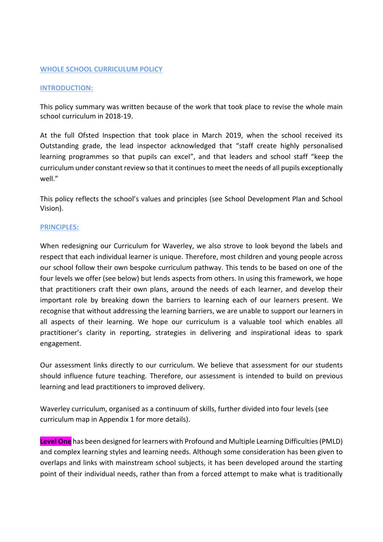#### **WHOLE SCHOOL CURRICULUM POLICY**

#### **INTRODUCTION:**

This policy summary was written because of the work that took place to revise the whole main school curriculum in 2018-19.

At the full Ofsted Inspection that took place in March 2019, when the school received its Outstanding grade, the lead inspector acknowledged that "staff create highly personalised learning programmes so that pupils can excel", and that leaders and school staff "keep the curriculum under constant review so that it continues to meet the needs of all pupils exceptionally well."

This policy reflects the school's values and principles (see School Development Plan and School Vision).

#### **PRINCIPLES:**

When redesigning our Curriculum for Waverley, we also strove to look beyond the labels and respect that each individual learner is unique. Therefore, most children and young people across our school follow their own bespoke curriculum pathway. This tends to be based on one of the four levels we offer (see below) but lends aspects from others. In using this framework, we hope that practitioners craft their own plans, around the needs of each learner, and develop their important role by breaking down the barriers to learning each of our learners present. We recognise that without addressing the learning barriers, we are unable to support our learners in all aspects of their learning. We hope our curriculum is a valuable tool which enables all practitioner's clarity in reporting, strategies in delivering and inspirational ideas to spark engagement.

Our assessment links directly to our curriculum. We believe that assessment for our students should influence future teaching. Therefore, our assessment is intended to build on previous learning and lead practitioners to improved delivery.

Waverley curriculum, organised as a continuum of skills, further divided into four levels (see curriculum map in Appendix 1 for more details).

**Level One** has been designed for learners with Profound and Multiple Learning Difficulties (PMLD) and complex learning styles and learning needs. Although some consideration has been given to overlaps and links with mainstream school subjects, it has been developed around the starting point of their individual needs, rather than from a forced attempt to make what is traditionally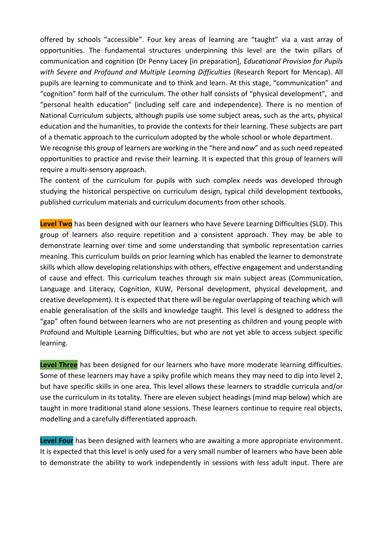offered by schools "accessible". Four key areas of learning are "taught" via a vast array of opportunities. The fundamental structures underpinning this level are the twin pillars of communication and cognition (Dr Penny Lacey [in preparation], *Educational Provision for Pupils with Severe and Profound and Multiple Learning Difficulties* (Research Report for Mencap). All pupils are learning to communicate and to think and learn. At this stage, "communication" and "cognition" form half of the curriculum. The other half consists of "physical development", and "personal health education" (including self care and independence). There is no mention of National Curriculum subjects, although pupils use some subject areas, such as the arts, physical education and the humanities, to provide the contexts for their learning. These subjects are part of a thematic approach to the curriculum adopted by the whole school or whole department. We recognise this group of learners are working in the "here and now" and as such need repeated opportunities to practice and revise their learning. It is expected that this group of learners will

require a multi-sensory approach.

The content of the curriculum for pupils with such complex needs was developed through studying the historical perspective on curriculum design, typical child development textbooks, published curriculum materials and curriculum documents from other schools.

**Level Two** has been designed with our learners who have Severe Learning Difficulties (SLD). This group of learners also require repetition and a consistent approach. They may be able to demonstrate learning over time and some understanding that symbolic representation carries meaning. This curriculum builds on prior learning which has enabled the learner to demonstrate skills which allow developing relationships with others, effective engagement and understanding of cause and effect. This curriculum teaches through six main subject areas (Communication, Language and Literacy, Cognition, KUW, Personal development, physical development, and creative development). It is expected that there will be regular overlapping of teaching which will enable generalisation of the skills and knowledge taught. This level is designed to address the "gap" often found between learners who are not presenting as children and young people with Profound and Multiple Learning Difficulties, but who are not yet able to access subject specific learning.

Level Three has been designed for our learners who have more moderate learning difficulties. Some of these learners may have a spiky profile which means they may need to dip into level 2, but have specific skills in one area. This level allows these learners to straddle curricula and/or use the curriculum in its totality. There are eleven subject headings (mind map below) which are taught in more traditional stand alone sessions. These learners continue to require real objects, modelling and a carefully differentiated approach.

**Level Four** has been designed with learners who are awaiting a more appropriate environment. It is expected that this level is only used for a very small number of learners who have been able to demonstrate the ability to work independently in sessions with less adult input. There are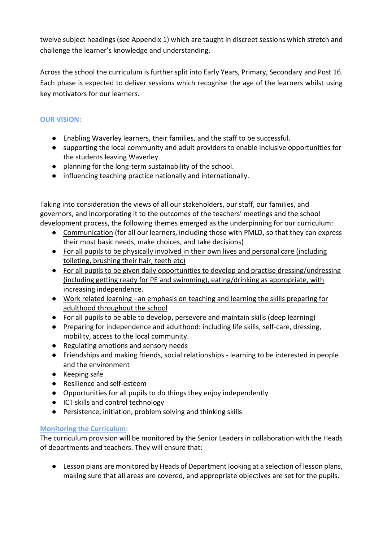twelve subject headings (see Appendix 1) which are taught in discreet sessions which stretch and challenge the learner's knowledge and understanding.

Across the school the curriculum is further split into Early Years, Primary, Secondary and Post 16. Each phase is expected to deliver sessions which recognise the age of the learners whilst using key motivators for our learners.

## **OUR VISION:**

- Enabling Waverley learners, their families, and the staff to be successful.
- supporting the local community and adult providers to enable inclusive opportunities for the students leaving Waverley.
- planning for the long-term sustainability of the school.
- influencing teaching practice nationally and internationally.

Taking into consideration the views of all our stakeholders, our staff, our families, and governors, and incorporating it to the outcomes of the teachers' meetings and the school development process, the following themes emerged as the underpinning for our curriculum:

- Communication (for all our learners, including those with PMLD, so that they can express their most basic needs, make choices, and take decisions)
- For all pupils to be physically involved in their own lives and personal care (including toileting, brushing their hair, teeth etc)
- For all pupils to be given daily opportunities to develop and practise dressing/undressing (including getting ready for PE and swimming), eating/drinking as appropriate, with increasing independence.
- Work related learning an emphasis on teaching and learning the skills preparing for adulthood throughout the school
- For all pupils to be able to develop, persevere and maintain skills (deep learning)
- Preparing for independence and adulthood: including life skills, self-care, dressing, mobility, access to the local community.
- Regulating emotions and sensory needs
- Friendships and making friends, social relationships learning to be interested in people and the environment
- Keeping safe
- Resilience and self-esteem
- Opportunities for all pupils to do things they enjoy independently
- ICT skills and control technology
- Persistence, initiation, problem solving and thinking skills

### **Monitoring the Curriculum:**

The curriculum provision will be monitored by the Senior Leaders in collaboration with the Heads of departments and teachers. They will ensure that:

● Lesson plans are monitored by Heads of Department looking at a selection of lesson plans, making sure that all areas are covered, and appropriate objectives are set for the pupils.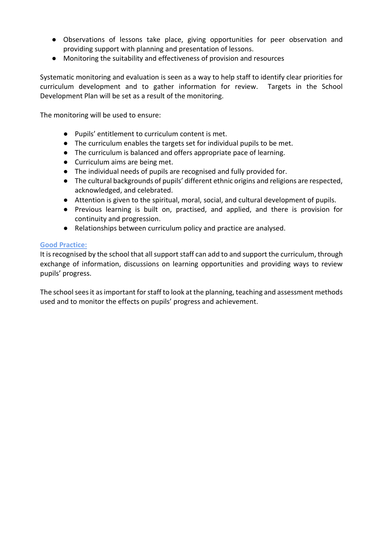- Observations of lessons take place, giving opportunities for peer observation and providing support with planning and presentation of lessons.
- Monitoring the suitability and effectiveness of provision and resources

Systematic monitoring and evaluation is seen as a way to help staff to identify clear priorities for curriculum development and to gather information for review. Targets in the School Development Plan will be set as a result of the monitoring.

The monitoring will be used to ensure:

- Pupils' entitlement to curriculum content is met.
- The curriculum enables the targets set for individual pupils to be met.
- The curriculum is balanced and offers appropriate pace of learning.
- Curriculum aims are being met.
- The individual needs of pupils are recognised and fully provided for.
- The cultural backgrounds of pupils' different ethnic origins and religions are respected, acknowledged, and celebrated.
- Attention is given to the spiritual, moral, social, and cultural development of pupils.
- Previous learning is built on, practised, and applied, and there is provision for continuity and progression.
- Relationships between curriculum policy and practice are analysed.

#### **Good Practice:**

It is recognised by the school that all support staff can add to and support the curriculum, through exchange of information, discussions on learning opportunities and providing ways to review pupils' progress.

The school sees it as important for staff to look at the planning, teaching and assessment methods used and to monitor the effects on pupils' progress and achievement.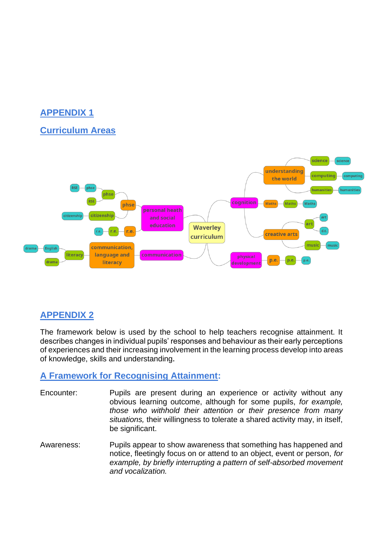# **APPENDIX 1**

## **Curriculum Areas**



# **APPENDIX 2**

The framework below is used by the school to help teachers recognise attainment. It describes changes in individual pupils' responses and behaviour as their early perceptions of experiences and their increasing involvement in the learning process develop into areas of knowledge, skills and understanding**.** 

## **A Framework for Recognising Attainment:**

- Encounter: Pupils are present during an experience or activity without any obvious learning outcome, although for some pupils, *for example, those who withhold their attention or their presence from many situations,* their willingness to tolerate a shared activity may, in itself, be significant.
- Awareness: Pupils appear to show awareness that something has happened and notice, fleetingly focus on or attend to an object, event or person, *for example, by briefly interrupting a pattern of self-absorbed movement and vocalization.*